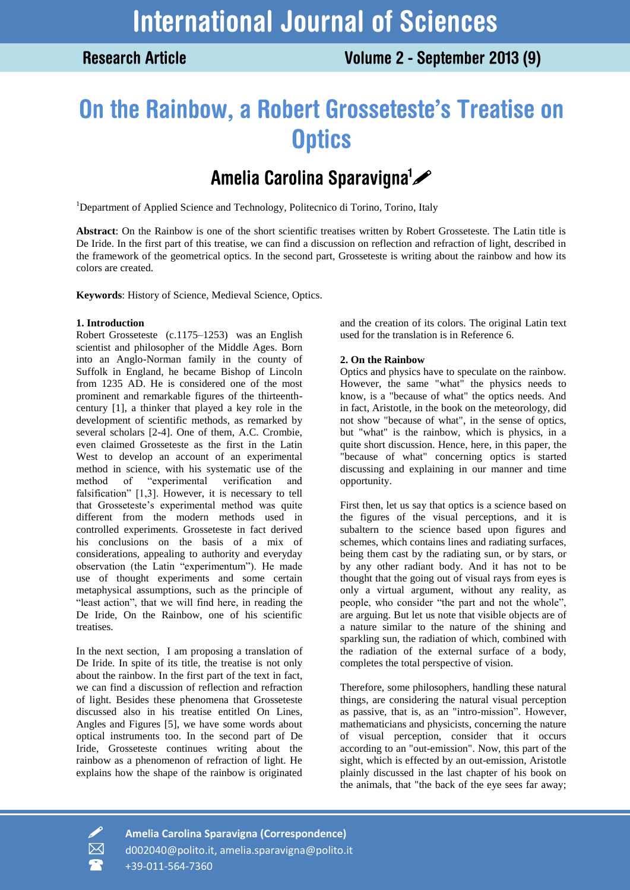# On the Rainbow, a Robert Grosseteste's Treatise on **Optics**

## Amelia Carolina Sparavigna<sup>1</sup>

<sup>1</sup>Department of Applied Science and Technology, Politecnico di Torino, Torino, Italy

**Abstract**: On the Rainbow is one of the short scientific treatises written by Robert Grosseteste. The Latin title is De Iride. In the first part of this treatise, we can find a discussion on reflection and refraction of light, described in the framework of the geometrical optics. In the second part, Grosseteste is writing about the rainbow and how its colors are created.

**Keywords**: History of Science, Medieval Science, Optics.

#### **1. Introduction**

Robert Grosseteste (c.1175–1253) was an English scientist and philosopher of the Middle Ages. Born into an Anglo-Norman family in the county of Suffolk in England, he became Bishop of Lincoln from 1235 AD. He is considered one of the most prominent and remarkable figures of the thirteenthcentury [1], a thinker that played a key role in the development of scientific methods, as remarked by several scholars [2-4]. One of them, A.C. Crombie, even claimed Grosseteste as the first in the Latin West to develop an account of an experimental method in science, with his systematic use of the method of "experimental verification and falsification" [1,3]. However, it is necessary to tell that Grosseteste's experimental method was quite different from the modern methods used in controlled experiments. Grosseteste in fact derived his conclusions on the basis of a mix of considerations, appealing to authority and everyday observation (the Latin "experimentum"). He made use of thought experiments and some certain metaphysical assumptions, such as the principle of "least action", that we will find here, in reading the De Iride, On the Rainbow, one of his scientific treatises.

In the next section, I am proposing a translation of De Iride. In spite of its title, the treatise is not only about the rainbow. In the first part of the text in fact, we can find a discussion of reflection and refraction of light. Besides these phenomena that Grosseteste discussed also in his treatise entitled On Lines, Angles and Figures [5], we have some words about optical instruments too. In the second part of De Iride, Grosseteste continues writing about the rainbow as a phenomenon of refraction of light. He explains how the shape of the rainbow is originated

and the creation of its colors. The original Latin text used for the translation is in Reference 6.

### **2. On the Rainbow**

Optics and physics have to speculate on the rainbow. However, the same "what" the physics needs to know, is a "because of what" the optics needs. And in fact, Aristotle, in the book on the meteorology, did not show "because of what", in the sense of optics, but "what" is the rainbow, which is physics, in a quite short discussion. Hence, here, in this paper, the "because of what" concerning optics is started discussing and explaining in our manner and time opportunity.

First then, let us say that optics is a science based on the figures of the visual perceptions, and it is subaltern to the science based upon figures and schemes, which contains lines and radiating surfaces, being them cast by the radiating sun, or by stars, or by any other radiant body. And it has not to be thought that the going out of visual rays from eyes is only a virtual argument, without any reality, as people, who consider "the part and not the whole", are arguing. But let us note that visible objects are of a nature similar to the nature of the shining and sparkling sun, the radiation of which, combined with the radiation of the external surface of a body, completes the total perspective of vision.

Therefore, some philosophers, handling these natural things, are considering the natural visual perception as passive, that is, as an "intro-mission". However, mathematicians and physicists, concerning the nature of visual perception, consider that it occurs according to an "out-emission". Now, this part of the sight, which is effected by an out-emission, Aristotle plainly discussed in the last chapter of his book on the animals, that "the back of the eye sees far away;

 **Amelia Carolina Sparavigna (Correspondence)** d002040@polito.it, amelia.sparavigna@polito.it +39-011-564-7360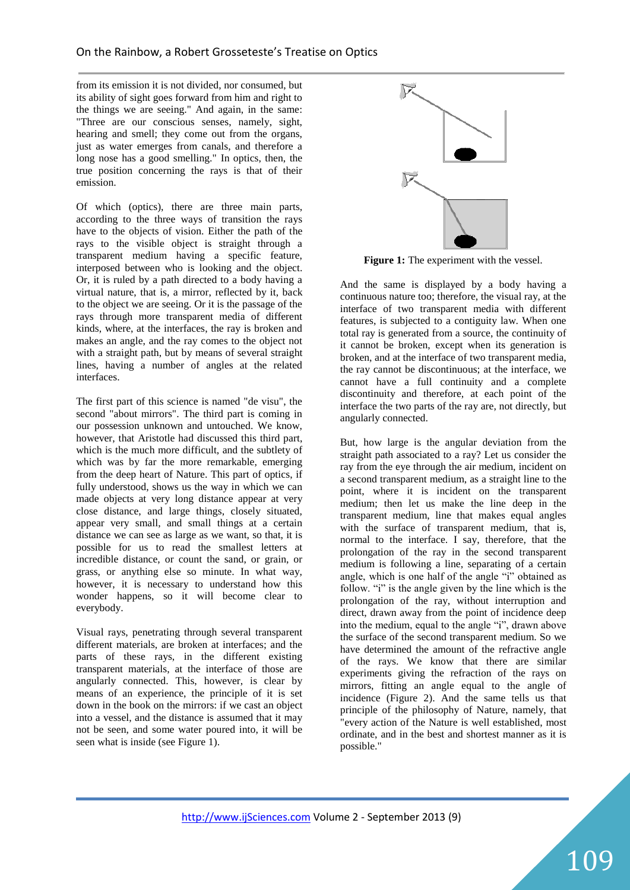from its emission it is not divided, nor consumed, but its ability of sight goes forward from him and right to the things we are seeing." And again, in the same: "Three are our conscious senses, namely, sight, hearing and smell; they come out from the organs, just as water emerges from canals, and therefore a long nose has a good smelling." In optics, then, the true position concerning the rays is that of their emission.

Of which (optics), there are three main parts, according to the three ways of transition the rays have to the objects of vision. Either the path of the rays to the visible object is straight through a transparent medium having a specific feature, interposed between who is looking and the object. Or, it is ruled by a path directed to a body having a virtual nature, that is, a mirror, reflected by it, back to the object we are seeing. Or it is the passage of the rays through more transparent media of different kinds, where, at the interfaces, the ray is broken and makes an angle, and the ray comes to the object not with a straight path, but by means of several straight lines, having a number of angles at the related interfaces.

The first part of this science is named "de visu", the second "about mirrors". The third part is coming in our possession unknown and untouched. We know, however, that Aristotle had discussed this third part, which is the much more difficult, and the subtlety of which was by far the more remarkable, emerging from the deep heart of Nature. This part of optics, if fully understood, shows us the way in which we can made objects at very long distance appear at very close distance, and large things, closely situated, appear very small, and small things at a certain distance we can see as large as we want, so that, it is possible for us to read the smallest letters at incredible distance, or count the sand, or grain, or grass, or anything else so minute. In what way, however, it is necessary to understand how this wonder happens, so it will become clear to everybody.

Visual rays, penetrating through several transparent different materials, are broken at interfaces; and the parts of these rays, in the different existing transparent materials, at the interface of those are angularly connected. This, however, is clear by means of an experience, the principle of it is set down in the book on the mirrors: if we cast an object into a vessel, and the distance is assumed that it may not be seen, and some water poured into, it will be seen what is inside (see Figure 1).



Figure 1: The experiment with the vessel.

And the same is displayed by a body having a continuous nature too; therefore, the visual ray, at the interface of two transparent media with different features, is subjected to a contiguity law. When one total ray is generated from a source, the continuity of it cannot be broken, except when its generation is broken, and at the interface of two transparent media, the ray cannot be discontinuous; at the interface, we cannot have a full continuity and a complete discontinuity and therefore, at each point of the interface the two parts of the ray are, not directly, but angularly connected.

But, how large is the angular deviation from the straight path associated to a ray? Let us consider the ray from the eye through the air medium, incident on a second transparent medium, as a straight line to the point, where it is incident on the transparent medium; then let us make the line deep in the transparent medium, line that makes equal angles with the surface of transparent medium, that is, normal to the interface.  $\vec{l}$  say, therefore, that the prolongation of the ray in the second transparent medium is following a line, separating of a certain angle, which is one half of the angle "i" obtained as follow. "i" is the angle given by the line which is the prolongation of the ray, without interruption and direct, drawn away from the point of incidence deep into the medium, equal to the angle "i", drawn above the surface of the second transparent medium. So we have determined the amount of the refractive angle of the rays. We know that there are similar experiments giving the refraction of the rays on mirrors, fitting an angle equal to the angle of incidence (Figure 2). And the same tells us that principle of the philosophy of Nature, namely, that "every action of the Nature is well established, most ordinate, and in the best and shortest manner as it is possible."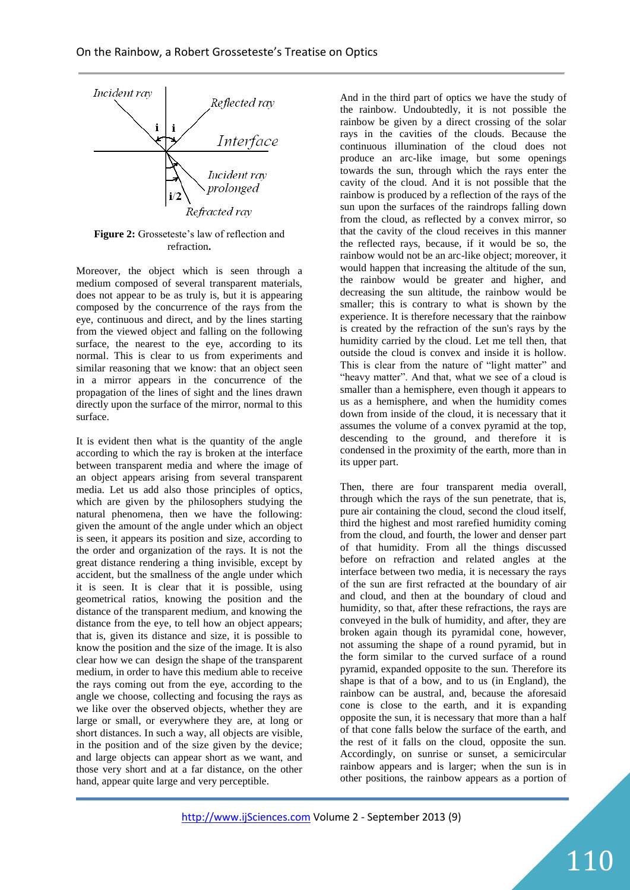

**Figure 2:** Grosseteste's law of reflection and refraction**.**

Moreover, the object which is seen through a medium composed of several transparent materials, does not appear to be as truly is, but it is appearing composed by the concurrence of the rays from the eye, continuous and direct, and by the lines starting from the viewed object and falling on the following surface, the nearest to the eye, according to its normal. This is clear to us from experiments and similar reasoning that we know: that an object seen in a mirror appears in the concurrence of the propagation of the lines of sight and the lines drawn directly upon the surface of the mirror, normal to this surface.

It is evident then what is the quantity of the angle according to which the ray is broken at the interface between transparent media and where the image of an object appears arising from several transparent media. Let us add also those principles of optics, which are given by the philosophers studying the natural phenomena, then we have the following: given the amount of the angle under which an object is seen, it appears its position and size, according to the order and organization of the rays. It is not the great distance rendering a thing invisible, except by accident, but the smallness of the angle under which it is seen. It is clear that it is possible, using geometrical ratios, knowing the position and the distance of the transparent medium, and knowing the distance from the eye, to tell how an object appears; that is, given its distance and size, it is possible to know the position and the size of the image. It is also clear how we can design the shape of the transparent medium, in order to have this medium able to receive the rays coming out from the eye, according to the angle we choose, collecting and focusing the rays as we like over the observed objects, whether they are large or small, or everywhere they are, at long or short distances. In such a way, all objects are visible, in the position and of the size given by the device; and large objects can appear short as we want, and those very short and at a far distance, on the other hand, appear quite large and very perceptible.

And in the third part of optics we have the study of the rainbow. Undoubtedly, it is not possible the rainbow be given by a direct crossing of the solar rays in the cavities of the clouds. Because the continuous illumination of the cloud does not produce an arc-like image, but some openings towards the sun, through which the rays enter the cavity of the cloud. And it is not possible that the rainbow is produced by a reflection of the rays of the sun upon the surfaces of the raindrops falling down from the cloud, as reflected by a convex mirror, so that the cavity of the cloud receives in this manner the reflected rays, because, if it would be so, the rainbow would not be an arc-like object; moreover, it would happen that increasing the altitude of the sun, the rainbow would be greater and higher, and decreasing the sun altitude, the rainbow would be smaller; this is contrary to what is shown by the experience. It is therefore necessary that the rainbow is created by the refraction of the sun's rays by the humidity carried by the cloud. Let me tell then, that outside the cloud is convex and inside it is hollow. This is clear from the nature of "light matter" and "heavy matter". And that, what we see of a cloud is smaller than a hemisphere, even though it appears to us as a hemisphere, and when the humidity comes down from inside of the cloud, it is necessary that it assumes the volume of a convex pyramid at the top, descending to the ground, and therefore it is condensed in the proximity of the earth, more than in its upper part.

Then, there are four transparent media overall, through which the rays of the sun penetrate, that is, pure air containing the cloud, second the cloud itself, third the highest and most rarefied humidity coming from the cloud, and fourth, the lower and denser part of that humidity. From all the things discussed before on refraction and related angles at the interface between two media, it is necessary the rays of the sun are first refracted at the boundary of air and cloud, and then at the boundary of cloud and humidity, so that, after these refractions, the rays are conveyed in the bulk of humidity, and after, they are broken again though its pyramidal cone, however, not assuming the shape of a round pyramid, but in the form similar to the curved surface of a round pyramid, expanded opposite to the sun. Therefore its shape is that of a bow, and to us (in England), the rainbow can be austral, and, because the aforesaid cone is close to the earth, and it is expanding opposite the sun, it is necessary that more than a half of that cone falls below the surface of the earth, and the rest of it falls on the cloud, opposite the sun. Accordingly, on sunrise or sunset, a semicircular rainbow appears and is larger; when the sun is in other positions, the rainbow appears as a portion of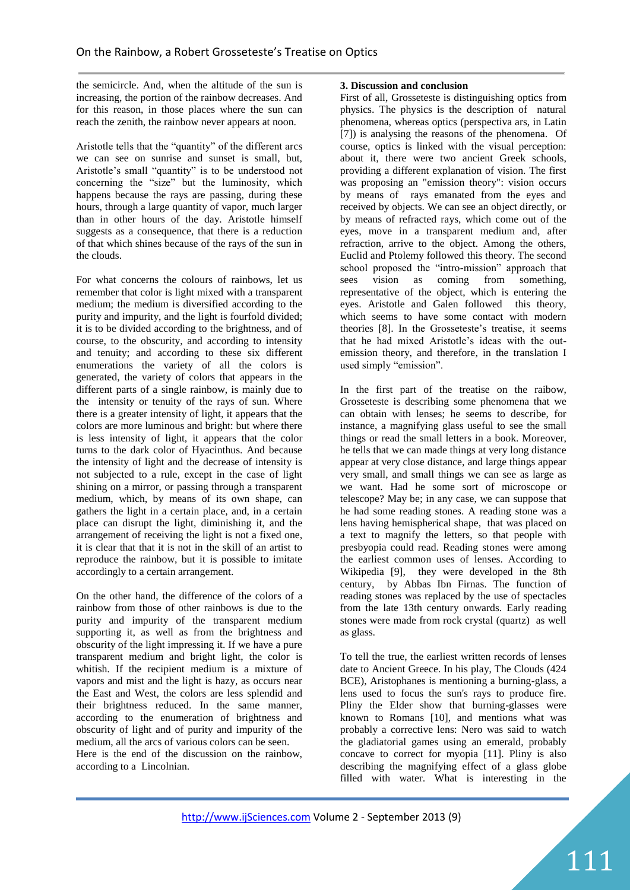the semicircle. And, when the altitude of the sun is increasing, the portion of the rainbow decreases. And for this reason, in those places where the sun can reach the zenith, the rainbow never appears at noon.

Aristotle tells that the "quantity" of the different arcs we can see on sunrise and sunset is small, but, Aristotle's small "quantity" is to be understood not concerning the "size" but the luminosity, which happens because the rays are passing, during these hours, through a large quantity of vapor, much larger than in other hours of the day. Aristotle himself suggests as a consequence, that there is a reduction of that which shines because of the rays of the sun in the clouds.

For what concerns the colours of rainbows, let us remember that color is light mixed with a transparent medium; the medium is diversified according to the purity and impurity, and the light is fourfold divided; it is to be divided according to the brightness, and of course, to the obscurity, and according to intensity and tenuity; and according to these six different enumerations the variety of all the colors is generated, the variety of colors that appears in the different parts of a single rainbow, is mainly due to the intensity or tenuity of the rays of sun. Where there is a greater intensity of light, it appears that the colors are more luminous and bright: but where there is less intensity of light, it appears that the color turns to the dark color of Hyacinthus. And because the intensity of light and the decrease of intensity is not subjected to a rule, except in the case of light shining on a mirror, or passing through a transparent medium, which, by means of its own shape, can gathers the light in a certain place, and, in a certain place can disrupt the light, diminishing it, and the arrangement of receiving the light is not a fixed one, it is clear that that it is not in the skill of an artist to reproduce the rainbow, but it is possible to imitate accordingly to a certain arrangement.

On the other hand, the difference of the colors of a rainbow from those of other rainbows is due to the purity and impurity of the transparent medium supporting it, as well as from the brightness and obscurity of the light impressing it. If we have a pure transparent medium and bright light, the color is whitish. If the recipient medium is a mixture of vapors and mist and the light is hazy, as occurs near the East and West, the colors are less splendid and their brightness reduced. In the same manner, according to the enumeration of brightness and obscurity of light and of purity and impurity of the medium, all the arcs of various colors can be seen. Here is the end of the discussion on the rainbow, according to a Lincolnian.

### **3. Discussion and conclusion**

First of all, Grosseteste is distinguishing optics from physics. The physics is the description of natural phenomena, whereas optics (perspectiva ars, in Latin [7]) is analysing the reasons of the phenomena. Of course, optics is linked with the visual perception: about it, there were two ancient Greek schools, providing a different explanation of vision. The first was proposing an "emission theory": vision occurs by means of rays emanated from the eyes and received by objects. We can see an object directly, or by means of refracted rays, which come out of the eyes, move in a transparent medium and, after refraction, arrive to the object. Among the others, Euclid and Ptolemy followed this theory. The second school proposed the "intro-mission" approach that sees vision as coming from something, representative of the object, which is entering the eyes. Aristotle and Galen followed this theory, which seems to have some contact with modern theories [8]. In the Grosseteste's treatise, it seems that he had mixed Aristotle's ideas with the outemission theory, and therefore, in the translation I used simply "emission".

In the first part of the treatise on the raibow, Grosseteste is describing some phenomena that we can obtain with lenses; he seems to describe, for instance, a magnifying glass useful to see the small things or read the small letters in a book. Moreover, he tells that we can made things at very long distance appear at very close distance, and large things appear very small, and small things we can see as large as we want. Had he some sort of microscope or telescope? May be; in any case, we can suppose that he had some reading stones. A reading stone was a lens having hemispherical shape, that was placed on a text to magnify the letters, so that people with presbyopia could read. Reading stones were among the earliest common uses of lenses. According to Wikipedia [9], they were developed in the 8th century, by Abbas Ibn Firnas. The function of reading stones was replaced by the use of spectacles from the late 13th century onwards. Early reading stones were made from rock crystal (quartz) as well as glass.

To tell the true, the earliest written records of lenses date to Ancient Greece. In his play, The Clouds (424 BCE), Aristophanes is mentioning a burning-glass, a lens used to focus the sun's rays to produce fire. Pliny the Elder show that burning-glasses were known to Romans [10], and mentions what was probably a corrective lens: Nero was said to watch the gladiatorial games using an emerald, probably concave to correct for myopia [11]. Pliny is also describing the magnifying effect of a glass globe filled with water. What is interesting in the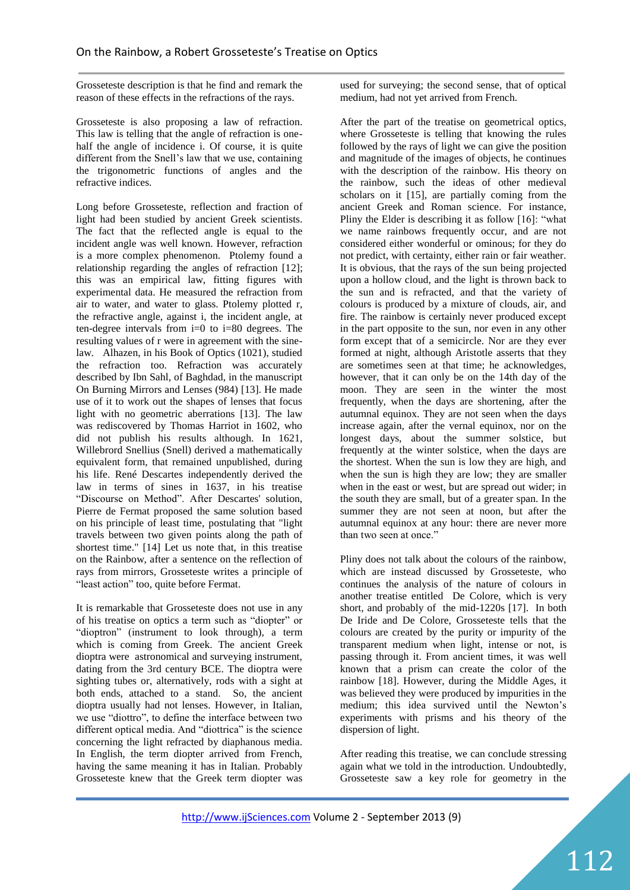Grosseteste description is that he find and remark the reason of these effects in the refractions of the rays.

Grosseteste is also proposing a law of refraction. This law is telling that the angle of refraction is onehalf the angle of incidence i. Of course, it is quite different from the Snell's law that we use, containing the trigonometric functions of angles and the refractive indices.

Long before Grosseteste, reflection and fraction of light had been studied by ancient Greek scientists. The fact that the reflected angle is equal to the incident angle was well known. However, refraction is a more complex phenomenon. Ptolemy found a relationship regarding the angles of refraction [12]; this was an empirical law, fitting figures with experimental data. He measured the refraction from air to water, and water to glass. Ptolemy plotted r, the refractive angle, against i, the incident angle, at ten-degree intervals from  $i=0$  to  $i=80$  degrees. The resulting values of r were in agreement with the sinelaw. Alhazen, in his Book of Optics (1021), studied the refraction too. Refraction was accurately described by Ibn Sahl, of Baghdad, in the manuscript On Burning Mirrors and Lenses (984) [13]. He made use of it to work out the shapes of lenses that focus light with no geometric aberrations [13]. The law was rediscovered by Thomas Harriot in 1602, who did not publish his results although. In 1621, Willebrord Snellius (Snell) derived a mathematically equivalent form, that remained unpublished, during his life. René Descartes independently derived the law in terms of sines in 1637, in his treatise "Discourse on Method". After Descartes' solution, Pierre de Fermat proposed the same solution based on his principle of least time, postulating that "light travels between two given points along the path of shortest time." [14] Let us note that, in this treatise on the Rainbow, after a sentence on the reflection of rays from mirrors, Grosseteste writes a principle of "least action" too, quite before Fermat.

It is remarkable that Grosseteste does not use in any of his treatise on optics a term such as "diopter" or "dioptron" (instrument to look through), a term which is coming from Greek. The ancient Greek dioptra were astronomical and surveying instrument, dating from the 3rd century BCE. The dioptra were sighting tubes or, alternatively, rods with a sight at both ends, attached to a stand. So, the ancient dioptra usually had not lenses. However, in Italian, we use "diottro", to define the interface between two different optical media. And "diottrica" is the science concerning the light refracted by diaphanous media. In English, the term diopter arrived from French, having the same meaning it has in Italian. Probably Grosseteste knew that the Greek term diopter was

used for surveying; the second sense, that of optical medium, had not yet arrived from French.

After the part of the treatise on geometrical optics, where Grosseteste is telling that knowing the rules followed by the rays of light we can give the position and magnitude of the images of objects, he continues with the description of the rainbow. His theory on the rainbow, such the ideas of other medieval scholars on it [15], are partially coming from the ancient Greek and Roman science. For instance, Pliny the Elder is describing it as follow [16]: "what we name rainbows frequently occur, and are not considered either wonderful or ominous; for they do not predict, with certainty, either rain or fair weather. It is obvious, that the rays of the sun being projected upon a hollow cloud, and the light is thrown back to the sun and is refracted, and that the variety of colours is produced by a mixture of clouds, air, and fire. The rainbow is certainly never produced except in the part opposite to the sun, nor even in any other form except that of a semicircle. Nor are they ever formed at night, although Aristotle asserts that they are sometimes seen at that time; he acknowledges, however, that it can only be on the 14th day of the moon. They are seen in the winter the most frequently, when the days are shortening, after the autumnal equinox. They are not seen when the days increase again, after the vernal equinox, nor on the longest days, about the summer solstice, but frequently at the winter solstice, when the days are the shortest. When the sun is low they are high, and when the sun is high they are low; they are smaller when in the east or west, but are spread out wider; in the south they are small, but of a greater span. In the summer they are not seen at noon, but after the autumnal equinox at any hour: there are never more than two seen at once."

Pliny does not talk about the colours of the rainbow, which are instead discussed by Grosseteste, who continues the analysis of the nature of colours in another treatise entitled De Colore, which is very short, and probably of the mid-1220s [17]. In both De Iride and De Colore, Grosseteste tells that the colours are created by the purity or impurity of the transparent medium when light, intense or not, is passing through it. From ancient times, it was well known that a prism can create the color of the rainbow [18]. However, during the Middle Ages, it was believed they were produced by impurities in the medium; this idea survived until the Newton's experiments with prisms and his theory of the dispersion of light.

After reading this treatise, we can conclude stressing again what we told in the introduction. Undoubtedly, Grosseteste saw a key role for geometry in the